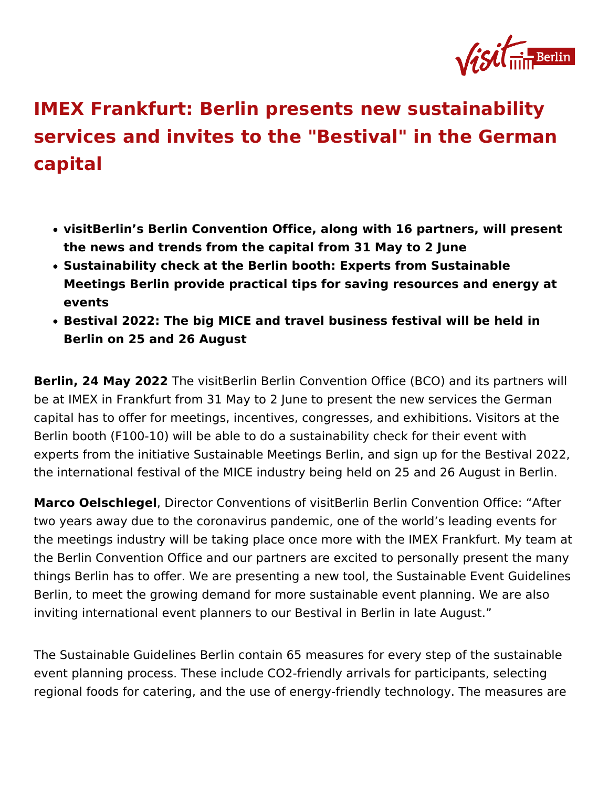## [IMEX Frankfurt: Berlin presents new sus](https://about.visitberlin.de/en/press/press-releases/imex-frankfurt-berlin-presents-new-sustainability-services-and-invites)taina [services and invites to the "Bestival" in](https://about.visitberlin.de/en/press/press-releases/imex-frankfurt-berlin-presents-new-sustainability-services-and-invites) the [capita](https://about.visitberlin.de/en/press/press-releases/imex-frankfurt-berlin-presents-new-sustainability-services-and-invites)l

- visitBerlin Berlin Convention Office, along with 16 partners, will the news and trends from the capital from 31 May to 2 June
- Sustainability check at the Berlin booth: Experts from Sustainal Meetings Berlin provide practical tips for saving resources and events
- Bestival 2022: The big MICE and travel business festival will be Berlin on 25 and 26 August

Berlin, 24 May 2022 visitBerlin Berlin Convention Office (BCO) and be at IMEX in Frankfurt from 31 May to 2 June to present the new s capital has to offer for meetings, incentives, congresses, and exhib Berlin booth (F100-10) will be able to do a sustainability check for experts from the initiative Sustainable Meetings Berlin, and sign up the international festival of the MICE industry being held on 25 and

Marco Oelschleg@irector Conventions of visitBerlin Berlin Convention two years away due to the coronavirus pandemic, one of the world : the meetings industry will be taking place once more with the IMEX the Berlin Convention Office and our partners are excited to persor things Berlin has to offer. We are presenting a new tool, the Sustainable Ture Event Guidelines Berlin, to meet the growing demand for more sustainable event plar inviting international event planners to our Bestival in Berlin in lat

The Sustainable Guidelines Berlin contain 65 measures for every st event planning process. These include CO2-friendly arrivals for participants, relations, selectional selection regional foods for catering, and the use of energy-friendly technold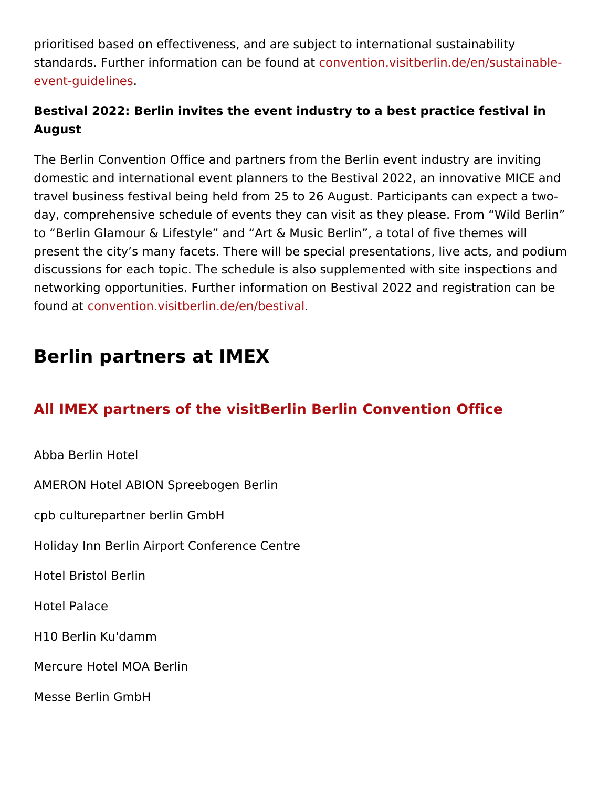prioritised based on effectiveness, and are subject to international standards. Further information canobe found atsitberlin.de/en/susta [event-guide](https://convention.visitberlin.de/en/sustainable-event-guidelines)lines .

Bestival 2022: Berlin invites the event industry to a best practice f August

The Berlin Convention Office and partners from the Berlin event ind domestic and international event planners to the Bestival 2022, an travel business festival being held from 25 to 26 August. Participar day, comprehensive schedule of events they can visit as they pleas to Berlin Glamour & Lifestyle and Art & Music Berlin, a total of present the city s many facets. There will be special presentations, discussions for each topic. The schedule is also supplemented with networking opportunities. Further information on Bestival 2022 and found at nvention.visitberlin.de/en/bestival

## Berlin partners at IMEX

## All IMEX partners of the visitBerlin Berlin Convention Off

Abba Berlin Hotel

AMERON Hotel ABION Spreebogen Berlin

cpb culturepartner berlin GmbH

## Holiday Inn Berlin Airport Conference Centre

Hotel Bristol Berlin

Hotel Palace

H10 Berlin Ku'damm

Mercure Hotel MOA Berlin

Messe Berlin GmbH